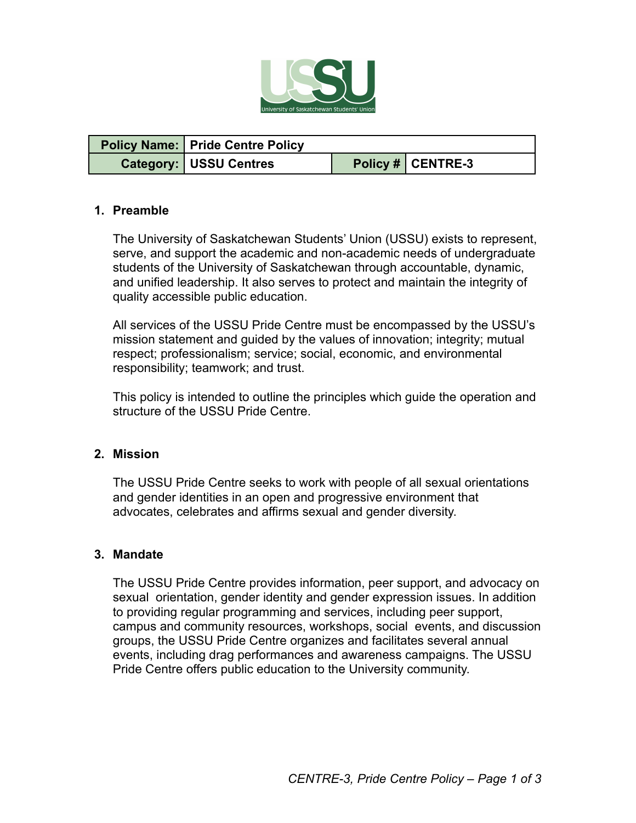

| <b>Policy Name: Pride Centre Policy</b> |                   |
|-----------------------------------------|-------------------|
| <b>Category: USSU Centres</b>           | Policy # CENTRE-3 |

#### **1. Preamble**

The University of Saskatchewan Students' Union (USSU) exists to represent, serve, and support the academic and non-academic needs of undergraduate students of the University of Saskatchewan through accountable, dynamic, and unified leadership. It also serves to protect and maintain the integrity of quality accessible public education.

All services of the USSU Pride Centre must be encompassed by the USSU's mission statement and guided by the values of innovation; integrity; mutual respect; professionalism; service; social, economic, and environmental responsibility; teamwork; and trust.

This policy is intended to outline the principles which guide the operation and structure of the USSU Pride Centre.

#### **2. Mission**

The USSU Pride Centre seeks to work with people of all sexual orientations and gender identities in an open and progressive environment that advocates, celebrates and affirms sexual and gender diversity.

#### **3. Mandate**

The USSU Pride Centre provides information, peer support, and advocacy on sexual orientation, gender identity and gender expression issues. In addition to providing regular programming and services, including peer support, campus and community resources, workshops, social events, and discussion groups, the USSU Pride Centre organizes and facilitates several annual events, including drag performances and awareness campaigns. The USSU Pride Centre offers public education to the University community.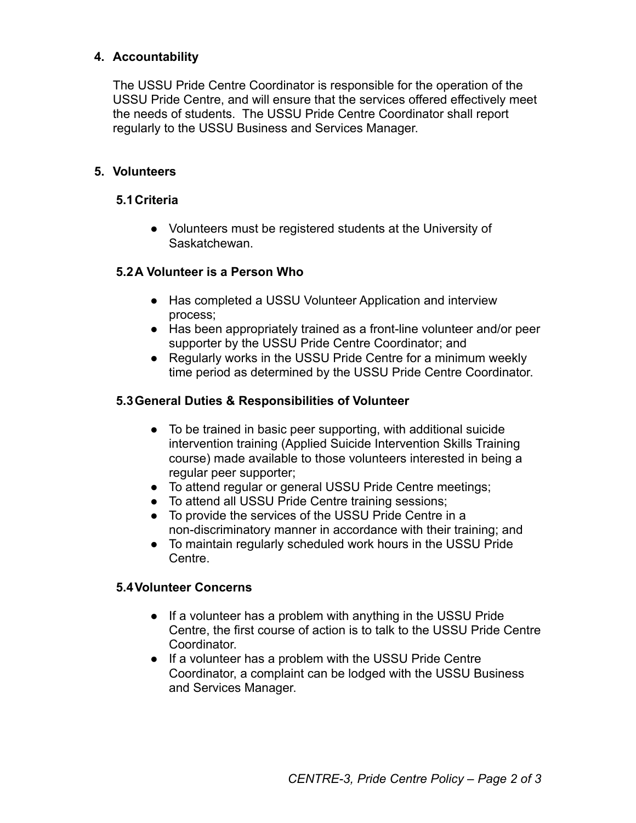## **4. Accountability**

The USSU Pride Centre Coordinator is responsible for the operation of the USSU Pride Centre, and will ensure that the services offered effectively meet the needs of students. The USSU Pride Centre Coordinator shall report regularly to the USSU Business and Services Manager.

### **5. Volunteers**

### **5.1Criteria**

● Volunteers must be registered students at the University of Saskatchewan.

### **5.2A Volunteer is a Person Who**

- Has completed a USSU Volunteer Application and interview process;
- Has been appropriately trained as a front-line volunteer and/or peer supporter by the USSU Pride Centre Coordinator; and
- Regularly works in the USSU Pride Centre for a minimum weekly time period as determined by the USSU Pride Centre Coordinator.

### **5.3General Duties & Responsibilities of Volunteer**

- To be trained in basic peer supporting, with additional suicide intervention training (Applied Suicide Intervention Skills Training course) made available to those volunteers interested in being a regular peer supporter;
- To attend regular or general USSU Pride Centre meetings;
- To attend all USSU Pride Centre training sessions;
- To provide the services of the USSU Pride Centre in a non-discriminatory manner in accordance with their training; and
- To maintain regularly scheduled work hours in the USSU Pride Centre.

### **5.4Volunteer Concerns**

- If a volunteer has a problem with anything in the USSU Pride Centre, the first course of action is to talk to the USSU Pride Centre Coordinator.
- If a volunteer has a problem with the USSU Pride Centre Coordinator, a complaint can be lodged with the USSU Business and Services Manager.